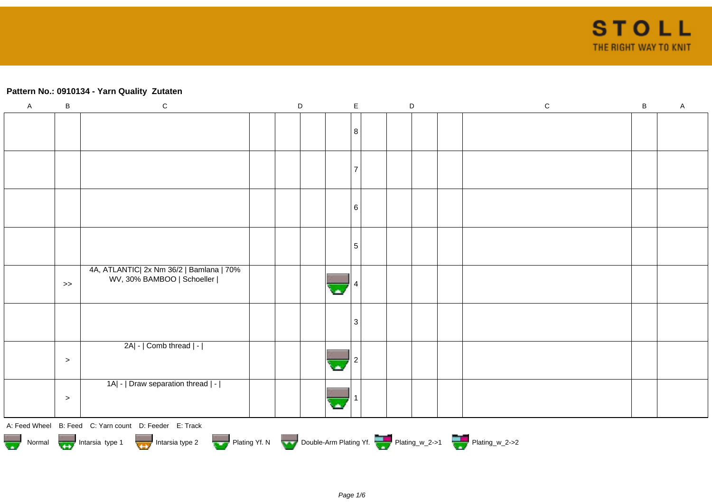## **Pattern No.: 0910134 - Yarn Quality Zutaten**

| $\mathsf A$ | $\sf B$ | ${\bf C}$                                                                        | D | $\mathsf E$ | $\mathsf D$ | $\mathsf C$ | $\sf B$ | $\mathsf A$ |
|-------------|---------|----------------------------------------------------------------------------------|---|-------------|-------------|-------------|---------|-------------|
|             |         |                                                                                  |   |             |             |             |         |             |
|             |         |                                                                                  |   | 8           |             |             |         |             |
|             |         |                                                                                  |   |             |             |             |         |             |
|             |         |                                                                                  |   |             |             |             |         |             |
|             |         |                                                                                  |   |             |             |             |         |             |
|             |         |                                                                                  |   |             |             |             |         |             |
|             |         |                                                                                  |   | 6           |             |             |         |             |
|             |         |                                                                                  |   |             |             |             |         |             |
|             |         |                                                                                  |   | 5           |             |             |         |             |
|             |         | 4A, ATLANTIC  2x Nm 36/2   Bamlana   70%<br>WV, 30% BAMBOO   Schoeller           |   |             |             |             |         |             |
|             | >       |                                                                                  |   |             |             |             |         |             |
|             |         |                                                                                  |   |             |             |             |         |             |
|             |         |                                                                                  |   | 3           |             |             |         |             |
|             |         | 2A  -   Comb thread   -                                                          |   |             |             |             |         |             |
|             | $\, >$  |                                                                                  |   |             |             |             |         |             |
|             |         | 1A  -   Draw separation thread   -                                               |   |             |             |             |         |             |
|             | $\,>$   |                                                                                  |   |             |             |             |         |             |
|             |         |                                                                                  |   |             |             |             |         |             |
|             |         | A: Feed Wheel B: Feed C: Yarn count D: Feeder E: Track                           |   |             |             |             |         |             |
|             |         | Normal Montain Strategy Intarsia type 2 but Plating Yf. N Double-Arm Plating Yf. |   |             |             |             |         |             |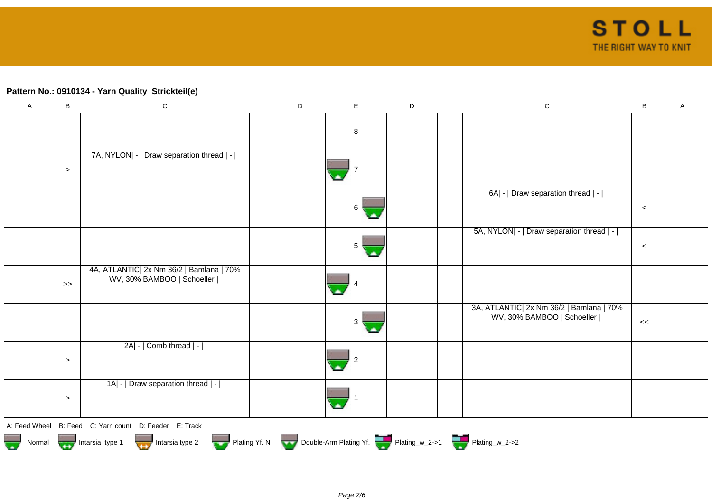## **Pattern No.: 0910134 - Yarn Quality Strickteil(e)**

| $\boldsymbol{\mathsf{A}}$ | $\sf B$ | $\mathsf C$                                                                      | D | $\mathsf E$    | $\mathsf D$ | $\mathsf C$                               | $\sf B$ | A |
|---------------------------|---------|----------------------------------------------------------------------------------|---|----------------|-------------|-------------------------------------------|---------|---|
|                           |         |                                                                                  |   |                |             |                                           |         |   |
|                           |         |                                                                                  |   | 8              |             |                                           |         |   |
|                           |         |                                                                                  |   |                |             |                                           |         |   |
|                           |         | 7A, NYLON  -   Draw separation thread   -                                        |   |                |             |                                           |         |   |
|                           | $\,>$   |                                                                                  |   |                |             |                                           |         |   |
|                           |         |                                                                                  |   |                |             | 6A  -   Draw separation thread   -        |         |   |
|                           |         |                                                                                  |   | $6 \mid$       |             |                                           | $\,<$   |   |
|                           |         |                                                                                  |   |                |             | 5A, NYLON  -   Draw separation thread   - |         |   |
|                           |         |                                                                                  |   | 5 <sup>1</sup> |             |                                           | $\,<$   |   |
|                           |         | 4A, ATLANTIC  2x Nm 36/2   Bamlana   70%                                         |   |                |             |                                           |         |   |
|                           | $\gt$   | WV, 30% BAMBOO   Schoeller                                                       |   |                |             |                                           |         |   |
|                           |         |                                                                                  |   |                |             | 3A, ATLANTIC  2x Nm 36/2   Bamlana   70%  |         |   |
|                           |         |                                                                                  |   | 3              |             | WV, 30% BAMBOO   Schoeller                | <<      |   |
|                           |         | 2A  -   Comb thread   -                                                          |   |                |             |                                           |         |   |
|                           | $\geq$  |                                                                                  |   |                |             |                                           |         |   |
|                           |         | 1A  -   Draw separation thread   -                                               |   |                |             |                                           |         |   |
|                           | $\geq$  |                                                                                  |   |                |             |                                           |         |   |
|                           |         | A: Feed Wheel B: Feed C: Yarn count D: Feeder E: Track                           |   |                |             |                                           |         |   |
|                           |         | Normal More Intarsia type 1 Intarsia type 2 Plating Yf. N Double-Arm Plating Yf. |   |                |             |                                           |         |   |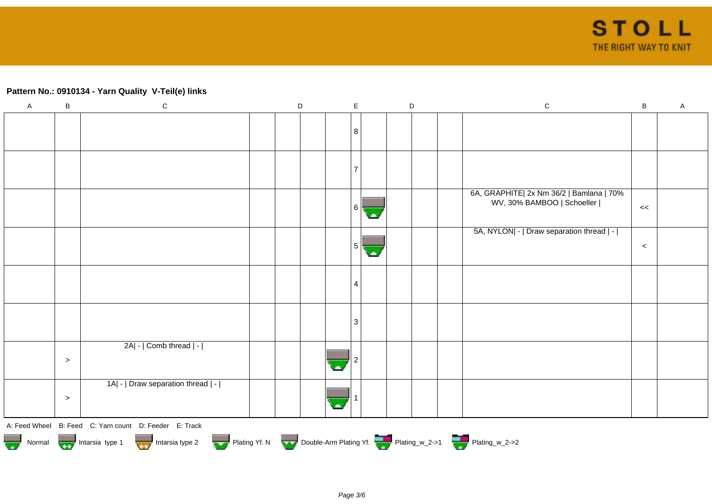## **Pattern No.: 0910134 - Yarn Quality V-Teil(e) links**

| $\overline{A}$ | B     | $\mathbf C$                                                                 | $\mathsf D$ | $\mathsf E$    |    | $\mathsf D$ | $\mathsf C$                               | B     | $\mathsf A$ |
|----------------|-------|-----------------------------------------------------------------------------|-------------|----------------|----|-------------|-------------------------------------------|-------|-------------|
|                |       |                                                                             |             |                |    |             |                                           |       |             |
|                |       |                                                                             |             | 8              |    |             |                                           |       |             |
|                |       |                                                                             |             |                |    |             |                                           |       |             |
|                |       |                                                                             |             |                |    |             |                                           |       |             |
|                |       |                                                                             |             |                |    |             |                                           |       |             |
|                |       |                                                                             |             |                |    |             | 6A, GRAPHITE  2x Nm 36/2   Bamlana   70%  |       |             |
|                |       |                                                                             |             | 6              |    |             | WV, 30% BAMBOO   Schoeller                | <<    |             |
|                |       |                                                                             |             |                |    |             | 5A, NYLON  -   Draw separation thread   - |       |             |
|                |       |                                                                             |             | 5 <sup>5</sup> | C. |             |                                           | $\,<$ |             |
|                |       |                                                                             |             |                |    |             |                                           |       |             |
|                |       |                                                                             |             |                |    |             |                                           |       |             |
|                |       |                                                                             |             | 4              |    |             |                                           |       |             |
|                |       |                                                                             |             |                |    |             |                                           |       |             |
|                |       |                                                                             |             | 3              |    |             |                                           |       |             |
|                |       | 2A  -   Comb thread   -                                                     |             |                |    |             |                                           |       |             |
|                | $\,>$ |                                                                             |             |                |    |             |                                           |       |             |
|                |       | 1A  -   Draw separation thread   -                                          |             |                |    |             |                                           |       |             |
|                | $\,>$ |                                                                             |             |                |    |             |                                           |       |             |
|                |       |                                                                             |             |                |    |             |                                           |       |             |
|                |       | A: Feed Wheel B: Feed C: Yarn count D: Feeder E: Track                      |             |                |    |             |                                           |       |             |
|                |       | Normal Intarsia type 1 Intarsia type 2 Plating Yf. N Double-Arm Plating Yf. |             |                |    |             |                                           |       |             |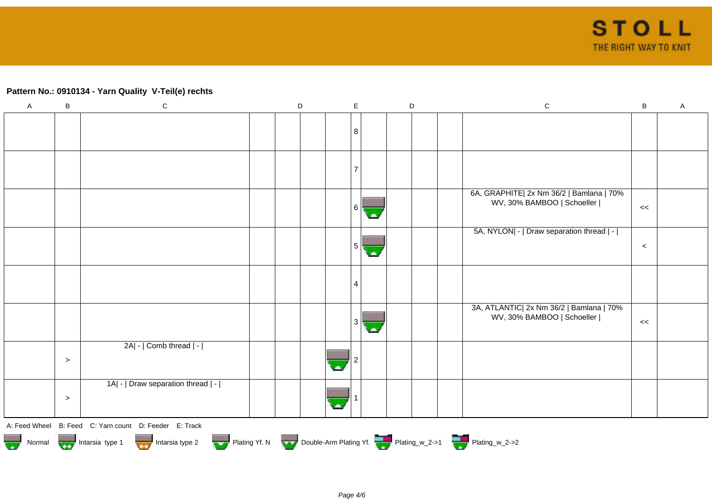## **Pattern No.: 0910134 - Yarn Quality V-Teil(e) rechts**

| $\overline{A}$ | $\sf B$ | $\mathbf C$                                                                                | $\mathsf D$ | E |   | $\mathsf D$ |  | $\mathsf C$                                                            | $\sf B$ | A |
|----------------|---------|--------------------------------------------------------------------------------------------|-------------|---|---|-------------|--|------------------------------------------------------------------------|---------|---|
|                |         |                                                                                            |             |   |   |             |  |                                                                        |         |   |
|                |         |                                                                                            |             | 8 |   |             |  |                                                                        |         |   |
|                |         |                                                                                            |             |   |   |             |  |                                                                        |         |   |
|                |         |                                                                                            |             |   |   |             |  |                                                                        |         |   |
|                |         |                                                                                            |             |   |   |             |  |                                                                        |         |   |
|                |         |                                                                                            |             |   |   |             |  | 6A, GRAPHITE  2x Nm 36/2   Bamlana   70%                               |         |   |
|                |         |                                                                                            |             | 6 |   |             |  | WV, 30% BAMBOO   Schoeller                                             | <<      |   |
|                |         |                                                                                            |             |   |   |             |  |                                                                        |         |   |
|                |         |                                                                                            |             |   |   |             |  | 5A, NYLON  -   Draw separation thread   -                              |         |   |
|                |         |                                                                                            |             | 5 |   |             |  |                                                                        | $\,<$   |   |
|                |         |                                                                                            |             |   | × |             |  |                                                                        |         |   |
|                |         |                                                                                            |             |   |   |             |  |                                                                        |         |   |
|                |         |                                                                                            |             | 4 |   |             |  |                                                                        |         |   |
|                |         |                                                                                            |             |   |   |             |  |                                                                        |         |   |
|                |         |                                                                                            |             |   |   |             |  | 3A, ATLANTIC  2x Nm 36/2   Bamlana   70%<br>WV, 30% BAMBOO   Schoeller |         |   |
|                |         |                                                                                            |             | 3 |   |             |  |                                                                        | <<      |   |
|                |         | 2A  -   Comb thread   -                                                                    |             |   |   |             |  |                                                                        |         |   |
|                | $\,>$   |                                                                                            |             |   |   |             |  |                                                                        |         |   |
|                |         |                                                                                            |             |   |   |             |  |                                                                        |         |   |
|                |         | 1A  -   Draw separation thread   -                                                         |             |   |   |             |  |                                                                        |         |   |
|                | $\,>$   |                                                                                            |             |   |   |             |  |                                                                        |         |   |
|                |         |                                                                                            |             |   |   |             |  |                                                                        |         |   |
|                |         | A: Feed Wheel B: Feed C: Yarn count D: Feeder E: Track                                     |             |   |   |             |  |                                                                        |         |   |
|                |         | Normal Intarsia type 1 Intarsia type 2 Plating Yf. N Double-Arm Plating Yf. Thating_w_2->1 |             |   |   |             |  |                                                                        |         |   |
|                |         |                                                                                            |             |   |   |             |  |                                                                        |         |   |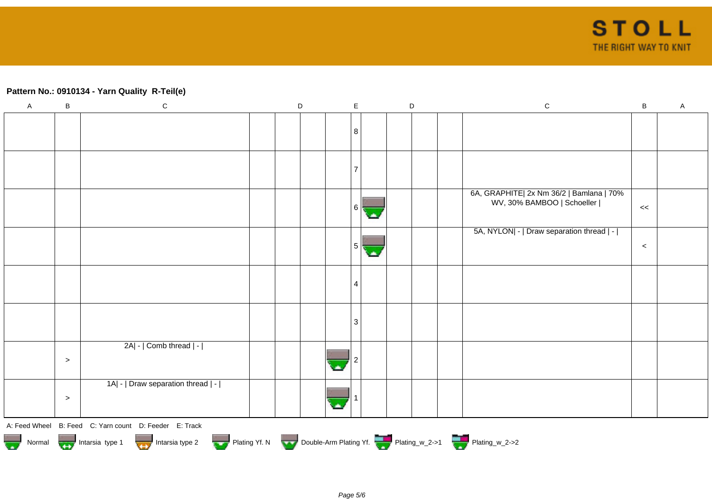## **Pattern No.: 0910134 - Yarn Quality R-Teil(e)**

| $\boldsymbol{\mathsf{A}}$ | $\sf B$ | ${\bf C}$                                                                                  | $\mathsf D$ |  | $\mathsf E$ | $\mathsf D$ |  | ${\bf C}$                                 | $\sf B$ | $\mathsf A$ |
|---------------------------|---------|--------------------------------------------------------------------------------------------|-------------|--|-------------|-------------|--|-------------------------------------------|---------|-------------|
|                           |         |                                                                                            |             |  |             |             |  |                                           |         |             |
|                           |         |                                                                                            |             |  | 8           |             |  |                                           |         |             |
|                           |         |                                                                                            |             |  |             |             |  |                                           |         |             |
|                           |         |                                                                                            |             |  |             |             |  |                                           |         |             |
|                           |         |                                                                                            |             |  |             |             |  |                                           |         |             |
|                           |         |                                                                                            |             |  |             |             |  |                                           |         |             |
|                           |         |                                                                                            |             |  |             |             |  | 6A, GRAPHITE  2x Nm 36/2   Bamlana   70%  |         |             |
|                           |         |                                                                                            |             |  | 6           |             |  | WV, 30% BAMBOO   Schoeller                | <<      |             |
|                           |         |                                                                                            |             |  |             |             |  |                                           |         |             |
|                           |         |                                                                                            |             |  |             |             |  | 5A, NYLON  -   Draw separation thread   - |         |             |
|                           |         |                                                                                            |             |  | 5           |             |  |                                           | $\,<\,$ |             |
|                           |         |                                                                                            |             |  |             |             |  |                                           |         |             |
|                           |         |                                                                                            |             |  |             |             |  |                                           |         |             |
|                           |         |                                                                                            |             |  | 4           |             |  |                                           |         |             |
|                           |         |                                                                                            |             |  |             |             |  |                                           |         |             |
|                           |         |                                                                                            |             |  |             |             |  |                                           |         |             |
|                           |         |                                                                                            |             |  | 3           |             |  |                                           |         |             |
|                           |         |                                                                                            |             |  |             |             |  |                                           |         |             |
|                           |         | 2A  -   Comb thread   -                                                                    |             |  |             |             |  |                                           |         |             |
|                           | $\geq$  |                                                                                            |             |  |             |             |  |                                           |         |             |
|                           |         |                                                                                            |             |  |             |             |  |                                           |         |             |
|                           |         | 1A  -   Draw separation thread   -                                                         |             |  |             |             |  |                                           |         |             |
|                           | $\,>$   |                                                                                            |             |  |             |             |  |                                           |         |             |
|                           |         |                                                                                            |             |  |             |             |  |                                           |         |             |
|                           |         | A: Feed Wheel B: Feed C: Yarn count D: Feeder E: Track                                     |             |  |             |             |  |                                           |         |             |
|                           |         |                                                                                            |             |  |             |             |  |                                           |         |             |
|                           |         | Normal Intarsia type 1 Intarsia type 2 Plating Yf. N Double-Arm Plating Yf. Thating_w_2->1 |             |  |             |             |  |                                           |         |             |
|                           |         |                                                                                            |             |  |             |             |  |                                           |         |             |